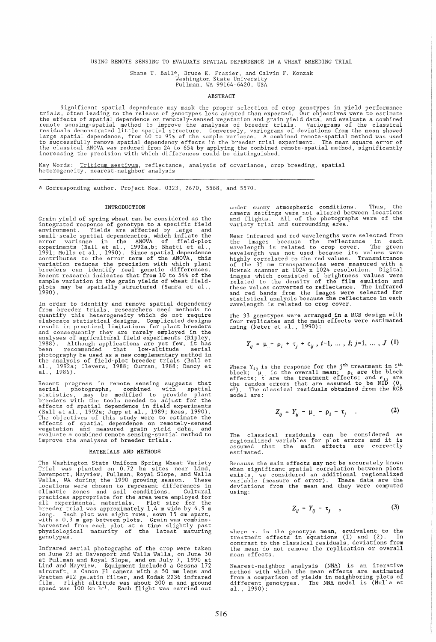USING REMOTE SENSING TO EVALUATE SPATIAL DEPENDENCE IN A WHEAT BREEDING TRIAL

Shane T. Ball\*, Bruce E. Frazier, and Calvin F. Konzak Washington State University Pullman, WA 99164-6420, USA

## ABSTRACT

Significant spatial dependence may mask the proper selection of crop genotypes in yield performance<br>trials, often leading to the release of genotypes less adapted than expected. Our objectives were to estimate<br>the effects

Key Words: <u>Triticum aestivum,</u> reflectance, analysis of covariance, crop breeding, spatial<br>heterogeneity, nearest-neighbor analysis

\* Corresponding author. Project Nos. 0323, 2670, 5568, and 5570.

#### INTRODUCTION

Grain yield of spring wheat can be considered as the<br>integrated response of genotype to a specific field<br>environment. Yields are affected by large and<br>small-scale spatial dependencies, which infilate the<br>error variance in

In order to identify and remove spatial dependency<br>from breeder trials, researchers need methods to<br>quantify this heterogeneity which do not require<br>elaborate statistical designs. Complicated designs<br>result in practical li

Recent progress in remote sensing suggests that<br>aerial photographs, combined with spatial<br>statistics, may be modified to provide plant<br>breeders with the tools needed to adjust for the<br>effects of spatial dependence in field

# MATERIALS AND METHODS

The Washington State Uniform Spring Wheat Variety<br>Trial was planted on 0.72 ha sites near Lind,<br>Davenport, Mayview, Pullman, Royal Slope, and Walla<br>Walla, WA during the 1990 growing season. These<br>locations were chosen to r

Infrared aerial photographs of the crop were taken<br>on June 23 at Davenport and Walla Walla, on June 30<br>at Pullman and Royal Slope, and on July 7, 1990 at<br>Lind and Mayview. Equipment included a Cessna 172<br>aircraft, a Canon

under sunny atmospheric conditions. Thus, the camera settings were not altered between locations and flights. All of the photographs were of the variety trial and surrounding area.

Near infrared and red wavelengths were selected from the images because the reflectance in each<br>wavelength is related to crop cover. The green<br>wavelength was not used because its values were<br>highly correlated to the red values. Transmittance<br>of the 35 mm transparencies were

rhe 33 genotypes were arranged in a RCB design with four replicates and the main effects were estimated using (Neter et al., 1990):

$$
Y_{ij} = \mu_{i} + \rho_{i} + \tau_{j} + \epsilon_{ij}, \ i = 1, ..., I; j = 1, ..., J \ (1)
$$

Where  $Y_{i,j}$  is the response for the j<sup>th</sup> treatment in i<sup>th</sup><br>block;  $\mu_{j}$  is the overall mean;  $\rho_{i}$  are the block<br>effects;  $\tau$  are the treatment effects; and  $\epsilon_{ij}$  are<br>the random errors that are assumed to be NI

$$
Z_{ij} = Y_{ij} - \mu_{..} - \rho_i - \tau_j \quad . \tag{2}
$$

The classical residuals can be considered as regionalized variables for plot errors and it is assumed that the main effects are correctly estimated.

Because the main effects may not be accurately known<br>when significant spatial correlation between plots<br>exists, we considered an additional regionalized<br>variable (measure of error). These data are the<br>deviations from the m using:

$$
Z_{ij} = Y_{ij} - \tau_j \quad , \tag{3}
$$

where  $\tau_j$  is the genotype mean, equivalent to the treatment effects in equations (1) and (2). In contrast to the classical residuals, deviations from the mean do not remove the replication or overall mean effects.

Nearest-neighbor analysis (NNA) is an iterative method with which the mean effects are estimated from a comparison of yields in neighboring plots of different genotypes. The NNA model is (Mulla et al., 1990):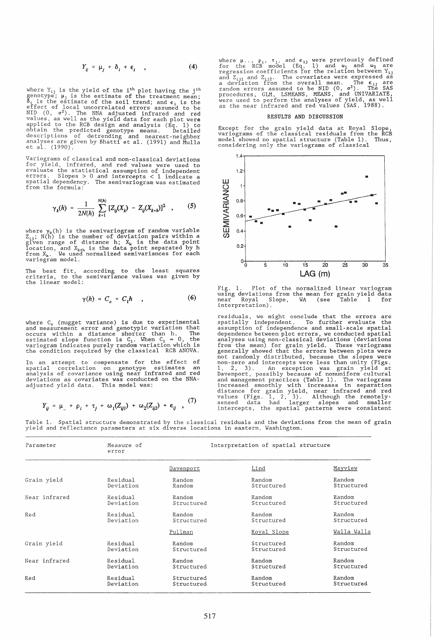$$
Y_{ij} = \mu_j + \delta_i + \epsilon_i \quad , \tag{4}
$$

where  $Y_{i,j}$  is the yield of the i<sup>th</sup> plot having the j<sup>th</sup><br>genotype;  $\mu_j$  is the estimate of the treatment mean;<br> $\delta_i$  is the estimate of the soil trend; and  $\epsilon_i$  is the<br>effect of local uncorrelated errors assumed to

Variograms of classical and non-classical deviations for yield, infrared, and red values were used to evaluate the statistical assumption of independent errors. Slopes> 0 and intercepts < 1 indicate a spatial dependency. The semivariogram was estimated from the formula:

$$
\gamma_k(h) = \frac{1}{2N(h)} \sum_{k=1}^{N(h)} [Z_{ij}(X_k) - Z_{ij}(X_{k+h})]^2 , \qquad (5)
$$

where  $\gamma_k(h)$  is the semivariogram of random variable  $Z_{ij}$ ;  $N(h)$  is the number of deviation pairs within a given range of distance  $h$ ;  $X_k$  is the data point is deviated by h from  $X_k$ . We used normalized semivariance variogram model.

The best fit, according to the least squares criteria, to the semivariance values was given by the linear model:

$$
\gamma(h) = C_o + C_1 h \qquad , \qquad (6)
$$

where  $C_o$  (nugget variance) is due to experimental<br>and measurement error and genotypic variation that<br>occurs within a distance shorter than h. The<br>estimated slope function is  $C_1$ . When  $C_1 = 0$ , the<br>variogram indicates

In an attempt to compensate for the effect of<br>spatial correlation on genotvoe estimates an spatial correlation on genotype estimates an analysis of covariance using near infrared and red deviations as covariates was conducted on the NNAadjusted yield data. This model was:

$$
Y_{ij} = \mu_{.} + \rho_{i} + \tau_{j} + \omega_{1}(Z_{ij1}) + \omega_{2}(Z_{ij2}) + \epsilon_{ij} , \tag{7}
$$

where  $\mu_{\cdots}$ ,  $\rho_i$ ,  $\tau_{j}$ , and  $\epsilon_{ij}$  were previously defined for the RCB model (Eq. 1) and  $\omega_1$  and  $\omega_2$  are<br>regression coefficients for the relation between  $Y_{1,j}$ <br>and  $Z_{1,j}$  and  $Z_{1,j}$ . The covariates were expressed as<br>a deviation from the overall mean. The  $\epsilon_{ij}$  are<br>ran

#### RESULTS AND DISCUSSION

Except for the grain yield data at Royal Slope, variograms of the classical residuals from the RCB model showed no spatial structure (Table 1). Thus, considering only the variograms of classical



Fig. 1. Plot of the normalized linear variogram using deviations from the mean for grain yield data near Royal Slope, WA (see Table 1 for interpretation).

residuals, we might conclude that the errors are spatially independent. To further evaluate the assumption of independence and small-scale spatial dependence between plot errors, we conducted spatial analyses using non-classical deviations (deviations from the mean) for grain yield. These variograms generally showed that the errors between plots were not randomly distributed, because the slopes were<br>non-zero and intercepts were less than unity (Figs.<br>1, 2, 3). An exception was grain yield at<br>Davenport, possibly because of nonuniform cultural<br>and management practices (T

Table 1. Spatial structure demonstrated by the classical residuals and the deviations from the mean of grain yield and reflectance parameters at six diverse locations in eastern, Washington.

| Parameter     | Measure of<br>error | Interpretation of spatial structure |             |             |  |
|---------------|---------------------|-------------------------------------|-------------|-------------|--|
|               |                     | Davenport                           | Lind        | Mayview     |  |
| Grain yield   | Residual            | Random                              | Random      | Random      |  |
|               | Deviation           | Random                              | Structured  | Structured  |  |
| Near infrared | Residual            | Random                              | Random      | Random      |  |
|               | Deviation           | Structured                          | Structured  | Structured  |  |
| Red           | Residual            | Random                              | Random      | Random      |  |
|               | Deviation           | Structured                          | Structured  | Structured  |  |
|               |                     | Pullman                             | Royal Slope | Walla Walla |  |
| Grain yield   | Residual            | Random                              | Structured  | Random      |  |
|               | Deviation           | Structured                          | Structured  | Structured  |  |
| Near infrared | Residual            | Random                              | Random      | Random      |  |
|               | Deviation           | Structured                          | Structured  | Structured  |  |
| Red           | Residual            | Structured                          | Random      | Random      |  |
|               | Deviation           | Structured                          | Structured  | Structured  |  |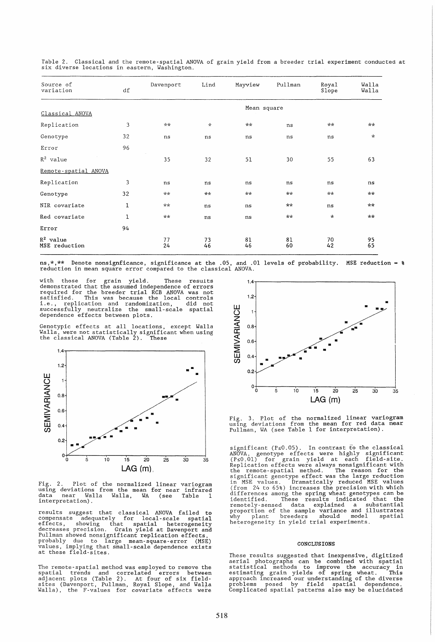| Source of<br>variation       | df    | Davenport    | Lind     | Mayview  | Pullman        | Royal<br>Slope | Walla<br>Walla |  |  |
|------------------------------|-------|--------------|----------|----------|----------------|----------------|----------------|--|--|
| Classical ANOVA              |       | Mean square  |          |          |                |                |                |  |  |
| Replication                  | 3     | $**$         | $\star$  | $**$     | ns             | $**$           | $**$           |  |  |
| Genotype                     | 32    | ns           | ns       | ns       | ns             | ns             | $\star$        |  |  |
| Error                        | 96    |              |          |          |                |                |                |  |  |
| $R^2$ value                  |       | 35           | 32       | 51       | 30             | 55             | 63             |  |  |
| Remote-spatial ANOVA         |       |              |          |          |                |                |                |  |  |
| Replication                  | 3     | ns           | ns       | ns       | ns             | ns             | ns             |  |  |
| Genotype                     | 32    | $\star\star$ | $**$     | $**$     | $\star \star$  | $\star\star$   | $\star\star$   |  |  |
| NIR covariate                | 1     | $**$         | ns       | ns       | $**$           | ns             | $**$           |  |  |
| Red covariate                | $1\,$ | $**$         | ns       | ns       | $\times\times$ | $\star$        | $**$           |  |  |
| Error                        | 94    |              |          |          |                |                |                |  |  |
| $R^2$ value<br>MSE reduction |       | 77<br>24     | 73<br>46 | 81<br>46 | 81<br>60       | 70<br>42       | 95<br>65       |  |  |

Table 2. Classical and the remote-spatial ANOVA of grain yield from a breeder trial experiment conducted at six diverse locations in eastern, Washington.

ns,\*,\*\* Denote nonsignficance, significance at the .05, and .01 levels of probability. MSE reduction = \$<br>reduction in mean square error compared to the classical ANOVA.

with those for grain yield. These results<br>demonstrated that the assumed independence of errors demonstrated that the assumed independence of errors<br>required for the breeder trial RCB ANOVA was not<br>satisfied. This was because the local controls<br>i.e., replication and randomization, did not<br>successfully neutralize the

Genotypic effects at all locations, except Walla Walla, were not statistically significant when using the classical ANOVA (Table 2). These



Fig. 2. Plot of the normalized linear variogram using deviations from the mean for near infrared data near Walla Walla, WA (see Table 1 data near Walla<br>interpretation).

results suggest that classical ANOVA failed to<br>compensate adequately for local-scale spatial<br>effects, showing that spatial heterogeneity<br>decreases precision. Grain yield at Davenport and<br>Pullman showed nonsignificant repli

The remote-spatial method was employed to remove the spatial trends and correlated errors between<br>adjacent plots (Table 2). At four of six field-<br>sites (Davenport, Pullman, Royal Slope, and Walla<br>Walla), the F-values for covariate effects were



Fig. 3. Plot of the normalized linear variogram using deviations from the mean for red data near Pullman, WA (see Table 1 for interpretation).

significant (Ps0.05). In contrast to the classical<br>ANOVA, genotype effects were highly significant<br>(Ps0.01) for grain yield at each field-site.<br>Replication effects were always nonsignificant with<br>the remote-spatial method differences among the spring wheat genotypes can be<br>identified. These results indicated that the<br>remotely-sensed data explained a substantial<br>proportion of the sample variance and illustrates<br>why plant breeders should mode

## CONCLUSIONS

These results suggested that inexpensive, digitized next and photographs can be combined with spatial<br>statistical methods to improve the accuracy in<br>estimating grain yields of spring wheat. This<br>approach increased our understanding of the diverse<br>problems posed by field spa